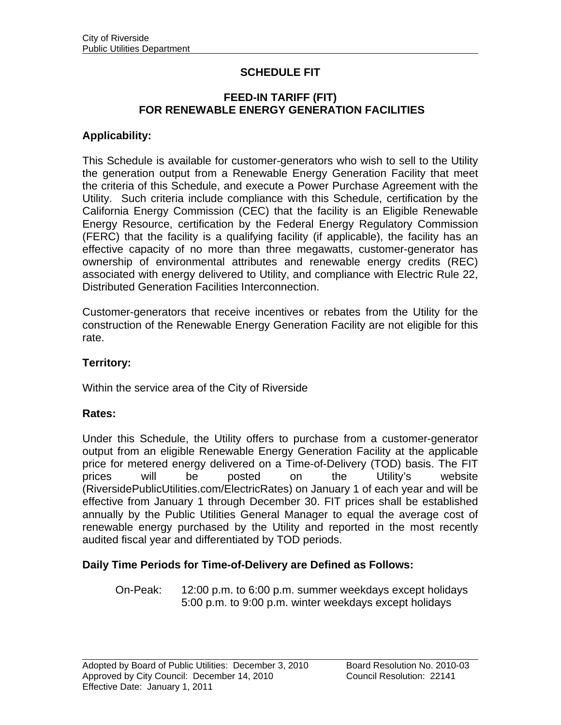## **SCHEDULE FIT**

#### **FEED-IN TARIFF (FIT) FOR RENEWABLE ENERGY GENERATION FACILITIES**

### **Applicability:**

This Schedule is available for customer-generators who wish to sell to the Utility the generation output from a Renewable Energy Generation Facility that meet the criteria of this Schedule, and execute a Power Purchase Agreement with the Utility. Such criteria include compliance with this Schedule, certification by the California Energy Commission (CEC) that the facility is an Eligible Renewable Energy Resource, certification by the Federal Energy Regulatory Commission (FERC) that the facility is a qualifying facility (if applicable), the facility has an effective capacity of no more than three megawatts, customer-generator has ownership of environmental attributes and renewable energy credits (REC) associated with energy delivered to Utility, and compliance with Electric Rule 22, Distributed Generation Facilities Interconnection.

Customer-generators that receive incentives or rebates from the Utility for the construction of the Renewable Energy Generation Facility are not eligible for this rate.

#### **Territory:**

Within the service area of the City of Riverside

#### **Rates:**

Under this Schedule, the Utility offers to purchase from a customer-generator output from an eligible Renewable Energy Generation Facility at the applicable price for metered energy delivered on a Time-of-Delivery (TOD) basis. The FIT prices will be posted on the Utility's website (RiversidePublicUtilities.com/ElectricRates) on January 1 of each year and will be effective from January 1 through December 30. FIT prices shall be established annually by the Public Utilities General Manager to equal the average cost of renewable energy purchased by the Utility and reported in the most recently audited fiscal year and differentiated by TOD periods.

#### **Daily Time Periods for Time-of-Delivery are Defined as Follows:**

 On-Peak: 12:00 p.m. to 6:00 p.m. summer weekdays except holidays 5:00 p.m. to 9:00 p.m. winter weekdays except holidays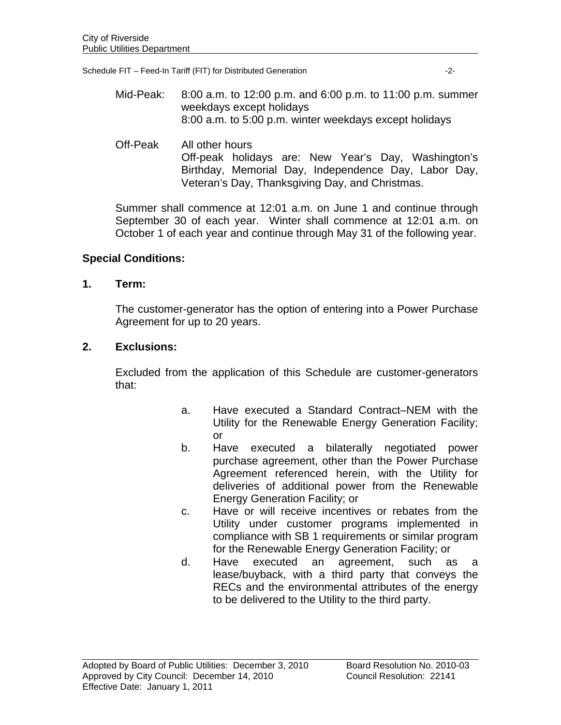Schedule FIT – Feed-In Tariff (FIT) for Distributed Generation -2-

- Mid-Peak: 8:00 a.m. to 12:00 p.m. and 6:00 p.m. to 11:00 p.m. summer weekdays except holidays 8:00 a.m. to 5:00 p.m. winter weekdays except holidays
- Off-Peak All other hours Off-peak holidays are: New Year's Day, Washington's Birthday, Memorial Day, Independence Day, Labor Day, Veteran's Day, Thanksgiving Day, and Christmas.

Summer shall commence at 12:01 a.m. on June 1 and continue through September 30 of each year. Winter shall commence at 12:01 a.m. on October 1 of each year and continue through May 31 of the following year.

## **Special Conditions:**

**1. Term:** 

The customer-generator has the option of entering into a Power Purchase Agreement for up to 20 years.

## **2. Exclusions:**

Excluded from the application of this Schedule are customer-generators that:

- a. Have executed a Standard Contract–NEM with the Utility for the Renewable Energy Generation Facility; or
- b. Have executed a bilaterally negotiated power purchase agreement, other than the Power Purchase Agreement referenced herein, with the Utility for deliveries of additional power from the Renewable Energy Generation Facility; or
- c. Have or will receive incentives or rebates from the Utility under customer programs implemented in compliance with SB 1 requirements or similar program for the Renewable Energy Generation Facility; or
- d. Have executed an agreement, such as a lease/buyback, with a third party that conveys the RECs and the environmental attributes of the energy to be delivered to the Utility to the third party.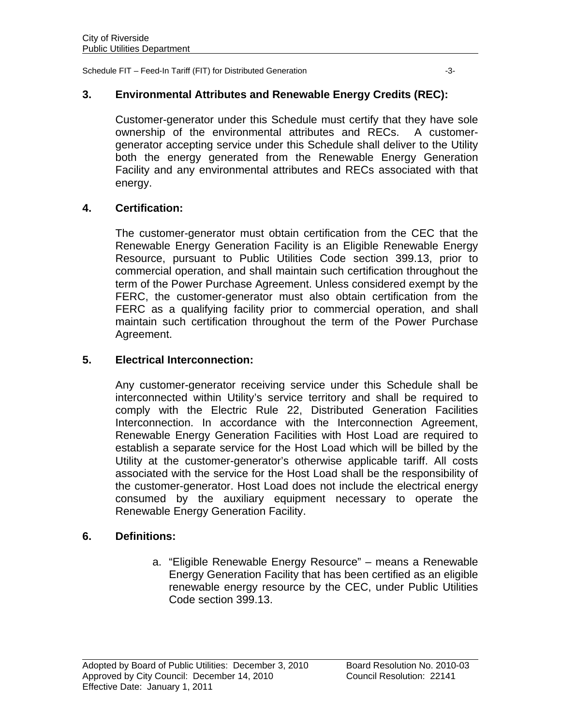Schedule FIT – Feed-In Tariff (FIT) for Distributed Generation  $-3-$ 

## **3. Environmental Attributes and Renewable Energy Credits (REC):**

Customer-generator under this Schedule must certify that they have sole ownership of the environmental attributes and RECs. A customergenerator accepting service under this Schedule shall deliver to the Utility both the energy generated from the Renewable Energy Generation Facility and any environmental attributes and RECs associated with that energy.

## **4. Certification:**

The customer-generator must obtain certification from the CEC that the Renewable Energy Generation Facility is an Eligible Renewable Energy Resource, pursuant to Public Utilities Code section 399.13, prior to commercial operation, and shall maintain such certification throughout the term of the Power Purchase Agreement. Unless considered exempt by the FERC, the customer-generator must also obtain certification from the FERC as a qualifying facility prior to commercial operation, and shall maintain such certification throughout the term of the Power Purchase Agreement.

### **5. Electrical Interconnection:**

Any customer-generator receiving service under this Schedule shall be interconnected within Utility's service territory and shall be required to comply with the Electric Rule 22, Distributed Generation Facilities Interconnection. In accordance with the Interconnection Agreement, Renewable Energy Generation Facilities with Host Load are required to establish a separate service for the Host Load which will be billed by the Utility at the customer-generator's otherwise applicable tariff. All costs associated with the service for the Host Load shall be the responsibility of the customer-generator. Host Load does not include the electrical energy consumed by the auxiliary equipment necessary to operate the Renewable Energy Generation Facility.

#### **6. Definitions:**

l

a. "Eligible Renewable Energy Resource" – means a Renewable Energy Generation Facility that has been certified as an eligible renewable energy resource by the CEC, under Public Utilities Code section 399.13.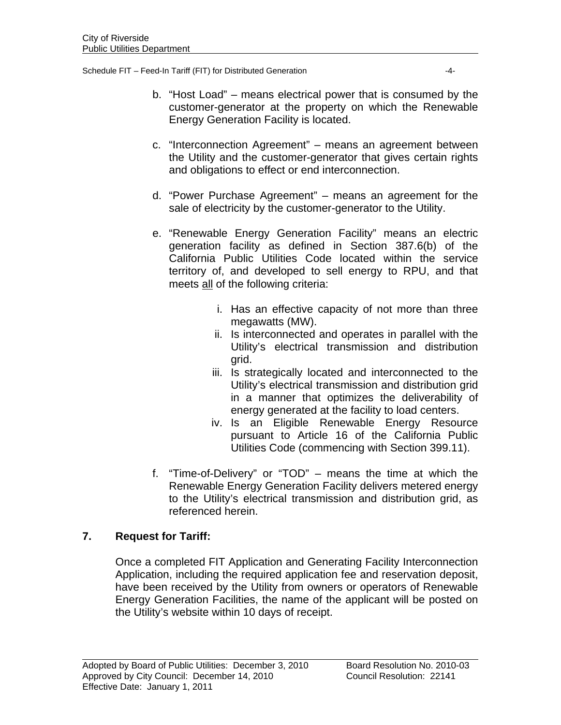Schedule FIT – Feed-In Tariff (FIT) for Distributed Generation  $-4$ -

- b. "Host Load" means electrical power that is consumed by the customer-generator at the property on which the Renewable Energy Generation Facility is located.
- c. "Interconnection Agreement" means an agreement between the Utility and the customer-generator that gives certain rights and obligations to effect or end interconnection.
- d. "Power Purchase Agreement" means an agreement for the sale of electricity by the customer-generator to the Utility.
- e. "Renewable Energy Generation Facility" means an electric generation facility as defined in Section 387.6(b) of the California Public Utilities Code located within the service territory of, and developed to sell energy to RPU, and that meets all of the following criteria:
	- i. Has an effective capacity of not more than three megawatts (MW).
	- ii. Is interconnected and operates in parallel with the Utility's electrical transmission and distribution grid.
	- iii. Is strategically located and interconnected to the Utility's electrical transmission and distribution grid in a manner that optimizes the deliverability of energy generated at the facility to load centers.
	- iv. Is an Eligible Renewable Energy Resource pursuant to Article 16 of the California Public Utilities Code (commencing with Section 399.11).
- f. "Time-of-Delivery" or "TOD" means the time at which the Renewable Energy Generation Facility delivers metered energy to the Utility's electrical transmission and distribution grid, as referenced herein.

# **7. Request for Tariff:**

Once a completed FIT Application and Generating Facility Interconnection Application, including the required application fee and reservation deposit, have been received by the Utility from owners or operators of Renewable Energy Generation Facilities, the name of the applicant will be posted on the Utility's website within 10 days of receipt.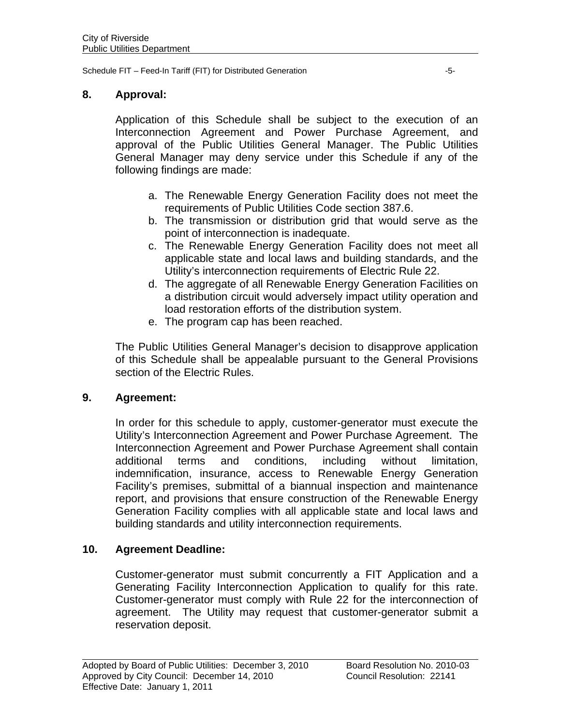Schedule FIT – Feed-In Tariff (FIT) for Distributed Generation  $-5$ -

## **8. Approval:**

Application of this Schedule shall be subject to the execution of an Interconnection Agreement and Power Purchase Agreement, and approval of the Public Utilities General Manager. The Public Utilities General Manager may deny service under this Schedule if any of the following findings are made:

- a. The Renewable Energy Generation Facility does not meet the requirements of Public Utilities Code section 387.6.
- b. The transmission or distribution grid that would serve as the point of interconnection is inadequate.
- c. The Renewable Energy Generation Facility does not meet all applicable state and local laws and building standards, and the Utility's interconnection requirements of Electric Rule 22.
- d. The aggregate of all Renewable Energy Generation Facilities on a distribution circuit would adversely impact utility operation and load restoration efforts of the distribution system.
- e. The program cap has been reached.

The Public Utilities General Manager's decision to disapprove application of this Schedule shall be appealable pursuant to the General Provisions section of the Electric Rules.

#### **9. Agreement:**

In order for this schedule to apply, customer-generator must execute the Utility's Interconnection Agreement and Power Purchase Agreement. The Interconnection Agreement and Power Purchase Agreement shall contain additional terms and conditions, including without limitation, indemnification, insurance, access to Renewable Energy Generation Facility's premises, submittal of a biannual inspection and maintenance report, and provisions that ensure construction of the Renewable Energy Generation Facility complies with all applicable state and local laws and building standards and utility interconnection requirements.

## **10. Agreement Deadline:**

Customer-generator must submit concurrently a FIT Application and a Generating Facility Interconnection Application to qualify for this rate. Customer-generator must comply with Rule 22 for the interconnection of agreement. The Utility may request that customer-generator submit a reservation deposit.